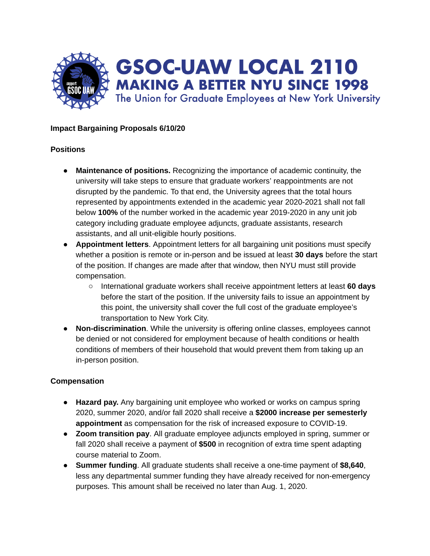

## **Impact Bargaining Proposals 6/10/20**

#### **Positions**

- **Maintenance of positions.** Recognizing the importance of academic continuity, the university will take steps to ensure that graduate workers' reappointments are not disrupted by the pandemic. To that end, the University agrees that the total hours represented by appointments extended in the academic year 2020-2021 shall not fall below **100%** of the number worked in the academic year 2019-2020 in any unit job category including graduate employee adjuncts, graduate assistants, research assistants, and all unit-eligible hourly positions.
- **● Appointment letters**. Appointment letters for all bargaining unit positions must specify whether a position is remote or in-person and be issued at least **30 days** before the start of the position. If changes are made after that window, then NYU must still provide compensation.
	- International graduate workers shall receive appointment letters at least **60 days** before the start of the position. If the university fails to issue an appointment by this point, the university shall cover the full cost of the graduate employee's transportation to New York City.
- **● Non-discrimination**. While the university is offering online classes, employees cannot be denied or not considered for employment because of health conditions or health conditions of members of their household that would prevent them from taking up an in-person position.

# **Compensation**

- **Hazard pay.** Any bargaining unit employee who worked or works on campus spring 2020, summer 2020, and/or fall 2020 shall receive a **\$2000 increase per semesterly appointment** as compensation for the risk of increased exposure to COVID-19.
- **● Zoom transition pay**. All graduate employee adjuncts employed in spring, summer or fall 2020 shall receive a payment of **\$500** in recognition of extra time spent adapting course material to Zoom.
- **● Summer funding**. All graduate students shall receive a one-time payment of **\$8,640**, less any departmental summer funding they have already received for non-emergency purposes. This amount shall be received no later than Aug. 1, 2020.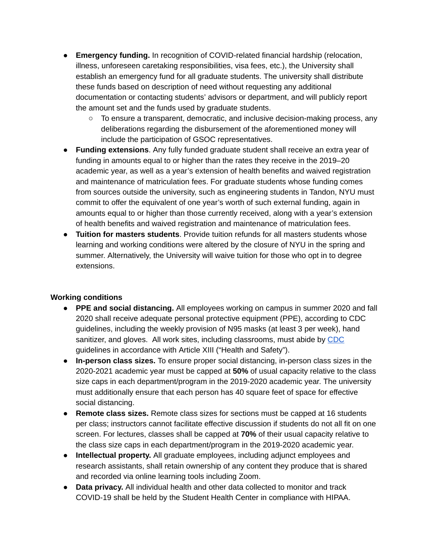- **● Emergency funding.** In recognition of COVID-related financial hardship (relocation, illness, unforeseen caretaking responsibilities, visa fees, etc.), the University shall establish an emergency fund for all graduate students. The university shall distribute these funds based on description of need without requesting any additional documentation or contacting students' advisors or department, and will publicly report the amount set and the funds used by graduate students.
	- To ensure a transparent, democratic, and inclusive decision-making process, any deliberations regarding the disbursement of the aforementioned money will include the participation of GSOC representatives.
- **● Funding extensions**. Any fully funded graduate student shall receive an extra year of funding in amounts equal to or higher than the rates they receive in the 2019–20 academic year, as well as a year's extension of health benefits and waived registration and maintenance of matriculation fees. For graduate students whose funding comes from sources outside the university, such as engineering students in Tandon, NYU must commit to offer the equivalent of one year's worth of such external funding, again in amounts equal to or higher than those currently received, along with a year's extension of health benefits and waived registration and maintenance of matriculation fees.
- **Tuition for masters students**. Provide tuition refunds for all masters students whose learning and working conditions were altered by the closure of NYU in the spring and summer. Alternatively, the University will waive tuition for those who opt in to degree extensions.

# **Working conditions**

- **PPE and social distancing.** All employees working on campus in summer 2020 and fall 2020 shall receive adequate personal protective equipment (PPE), according to CDC guidelines, including the weekly provision of N95 masks (at least 3 per week), hand sanitizer, and gloves. All work sites, including classrooms, must abide by [CDC](https://www.cdc.gov/coronavirus/2019-ncov/community/colleges-universities/considerations.html) guidelines in accordance with Article XIII ("Health and Safety").
- **In-person class sizes.** To ensure proper social distancing, in-person class sizes in the 2020-2021 academic year must be capped at **50%** of usual capacity relative to the class size caps in each department/program in the 2019-2020 academic year. The university must additionally ensure that each person has 40 square feet of space for effective social distancing.
- **● Remote class sizes.** Remote class sizes for sections must be capped at 16 students per class; instructors cannot facilitate effective discussion if students do not all fit on one screen. For lectures, classes shall be capped at **70%** of their usual capacity relative to the class size caps in each department/program in the 2019-2020 academic year.
- **● Intellectual property.** All graduate employees, including adjunct employees and research assistants, shall retain ownership of any content they produce that is shared and recorded via online learning tools including Zoom.
- **● Data privacy.** All individual health and other data collected to monitor and track COVID-19 shall be held by the Student Health Center in compliance with HIPAA.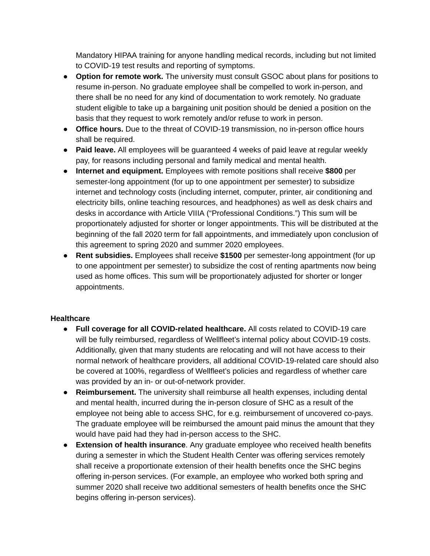Mandatory HIPAA training for anyone handling medical records, including but not limited to COVID-19 test results and reporting of symptoms.

- **● Option for remote work.** The university must consult GSOC about plans for positions to resume in-person. No graduate employee shall be compelled to work in-person, and there shall be no need for any kind of documentation to work remotely. No graduate student eligible to take up a bargaining unit position should be denied a position on the basis that they request to work remotely and/or refuse to work in person.
- **● Office hours.** Due to the threat of COVID-19 transmission, no in-person office hours shall be required.
- **● Paid leave.** All employees will be guaranteed 4 weeks of paid leave at regular weekly pay, for reasons including personal and family medical and mental health.
- **● Internet and equipment.** Employees with remote positions shall receive **\$800** per semester-long appointment (for up to one appointment per semester) to subsidize internet and technology costs (including internet, computer, printer, air conditioning and electricity bills, online teaching resources, and headphones) as well as desk chairs and desks in accordance with Article VIIIA ("Professional Conditions.") This sum will be proportionately adjusted for shorter or longer appointments. This will be distributed at the beginning of the fall 2020 term for fall appointments, and immediately upon conclusion of this agreement to spring 2020 and summer 2020 employees.
- **● Rent subsidies.** Employees shall receive **\$1500** per semester-long appointment (for up to one appointment per semester) to subsidize the cost of renting apartments now being used as home offices. This sum will be proportionately adjusted for shorter or longer appointments.

#### **Healthcare**

- **● Full coverage for all COVID-related healthcare.** All costs related to COVID-19 care will be fully reimbursed, regardless of Wellfleet's internal policy about COVID-19 costs. Additionally, given that many students are relocating and will not have access to their normal network of healthcare providers, all additional COVID-19-related care should also be covered at 100%, regardless of Wellfleet's policies and regardless of whether care was provided by an in- or out-of-network provider.
- **● Reimbursement.** The university shall reimburse all health expenses, including dental and mental health, incurred during the in-person closure of SHC as a result of the employee not being able to access SHC, for e.g. reimbursement of uncovered co-pays. The graduate employee will be reimbursed the amount paid minus the amount that they would have paid had they had in-person access to the SHC.
- **● Extension of health insurance**. Any graduate employee who received health benefits during a semester in which the Student Health Center was offering services remotely shall receive a proportionate extension of their health benefits once the SHC begins offering in-person services. (For example, an employee who worked both spring and summer 2020 shall receive two additional semesters of health benefits once the SHC begins offering in-person services).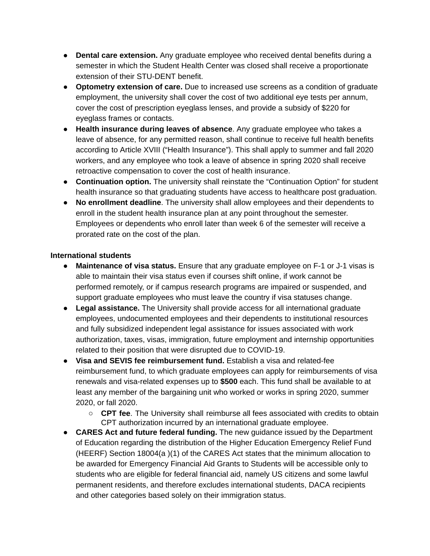- **● Dental care extension.** Any graduate employee who received dental benefits during a semester in which the Student Health Center was closed shall receive a proportionate extension of their STU-DENT benefit.
- **● Optometry extension of care.** Due to increased use screens as a condition of graduate employment, the university shall cover the cost of two additional eye tests per annum, cover the cost of prescription eyeglass lenses, and provide a subsidy of \$220 for eyeglass frames or contacts.
- **Health insurance during leaves of absence**. Any graduate employee who takes a leave of absence, for any permitted reason, shall continue to receive full health benefits according to Article XVIII ("Health Insurance"). This shall apply to summer and fall 2020 workers, and any employee who took a leave of absence in spring 2020 shall receive retroactive compensation to cover the cost of health insurance.
- **● Continuation option.** The university shall reinstate the "Continuation Option" for student health insurance so that graduating students have access to healthcare post graduation.
- **● No enrollment deadline**. The university shall allow employees and their dependents to enroll in the student health insurance plan at any point throughout the semester. Employees or dependents who enroll later than week 6 of the semester will receive a prorated rate on the cost of the plan.

## **International students**

- **● Maintenance of visa status.** Ensure that any graduate employee on F-1 or J-1 visas is able to maintain their visa status even if courses shift online, if work cannot be performed remotely, or if campus research programs are impaired or suspended, and support graduate employees who must leave the country if visa statuses change.
- **● Legal assistance.** The University shall provide access for all international graduate employees, undocumented employees and their dependents to institutional resources and fully subsidized independent legal assistance for issues associated with work authorization, taxes, visas, immigration, future employment and internship opportunities related to their position that were disrupted due to COVID-19.
- **● Visa and SEVIS fee reimbursement fund.** Establish a visa and related-fee reimbursement fund, to which graduate employees can apply for reimbursements of visa renewals and visa-related expenses up to **\$500** each. This fund shall be available to at least any member of the bargaining unit who worked or works in spring 2020, summer 2020, or fall 2020.
	- **CPT fee**. The University shall reimburse all fees associated with credits to obtain CPT authorization incurred by an international graduate employee.
- **● CARES Act and future federal funding.** The new guidance issued by the Department of Education regarding the distribution of the Higher Education Emergency Relief Fund (HEERF) Section 18004(a )(1) of the CARES Act states that the minimum allocation to be awarded for Emergency Financial Aid Grants to Students will be accessible only to students who are eligible for federal financial aid, namely US citizens and some lawful permanent residents, and therefore excludes international students, DACA recipients and other categories based solely on their immigration status.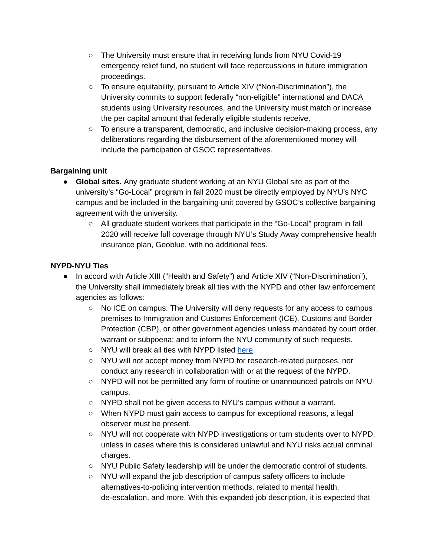- **○** The University must ensure that in receiving funds from NYU Covid-19 emergency relief fund, no student will face repercussions in future immigration proceedings.
- **○** To ensure equitability, pursuant to Article XIV ("Non-Discrimination"), the University commits to support federally "non-eligible" international and DACA students using University resources, and the University must match or increase the per capital amount that federally eligible students receive.
- To ensure a transparent, democratic, and inclusive decision-making process, any deliberations regarding the disbursement of the aforementioned money will include the participation of GSOC representatives.

# **Bargaining unit**

- **Global sites.** Any graduate student working at an NYU Global site as part of the university's "Go-Local" program in fall 2020 must be directly employed by NYU's NYC campus and be included in the bargaining unit covered by GSOC's collective bargaining agreement with the university.
	- All graduate student workers that participate in the "Go-Local" program in fall 2020 will receive full coverage through NYU's Study Away comprehensive health insurance plan, Geoblue, with no additional fees.

# **NYPD-NYU Ties**

- In accord with Article XIII ("Health and Safety") and Article XIV ("Non-Discrimination"), the University shall immediately break all ties with the NYPD and other law enforcement agencies as follows:
	- **○** No ICE on campus: The University will deny requests for any access to campus premises to Immigration and Customs Enforcement (ICE), Customs and Border Protection (CBP), or other government agencies unless mandated by court order, warrant or subpoena; and to inform the NYU community of such requests.
	- NYU will break all ties with NYPD listed [here](http://web.archive.org/web/20200317003836/https://www.nyu.edu/life/safety-health-wellness/public-safety/2018-19-annual-report/partnering-for-success.html).
	- NYU will not accept money from NYPD for research-related purposes, nor conduct any research in collaboration with or at the request of the NYPD.
	- NYPD will not be permitted any form of routine or unannounced patrols on NYU campus.
	- NYPD shall not be given access to NYU's campus without a warrant.
	- When NYPD must gain access to campus for exceptional reasons, a legal observer must be present.
	- NYU will not cooperate with NYPD investigations or turn students over to NYPD, unless in cases where this is considered unlawful and NYU risks actual criminal charges.
	- NYU Public Safety leadership will be under the democratic control of students.
	- NYU will expand the job description of campus safety officers to include alternatives-to-policing intervention methods, related to mental health, de-escalation, and more. With this expanded job description, it is expected that